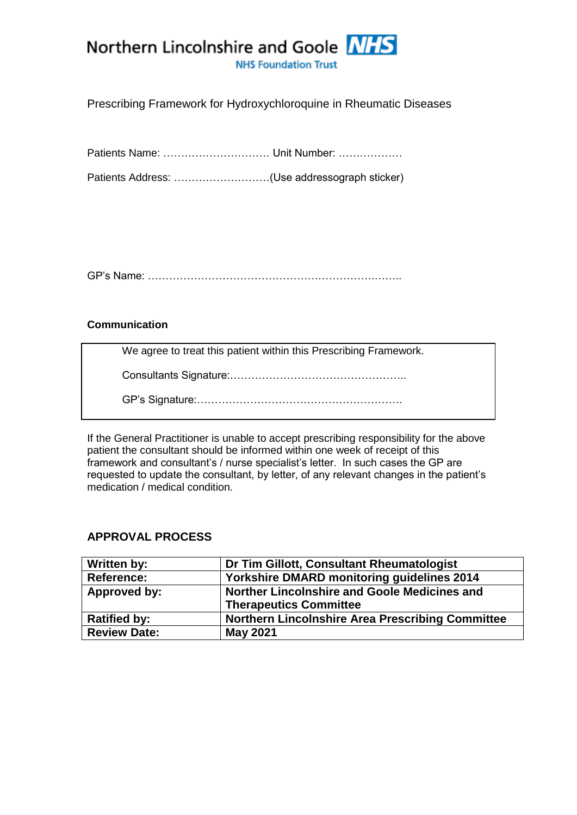

Prescribing Framework for Hydroxychloroquine in Rheumatic Diseases

Patients Name: ………………………… Unit Number: ………………

Patients Address: ………………………(Use addressograph sticker)

GP's Name: ……………………………………………………….……..

### **Communication**

We agree to treat this patient within this Prescribing Framework.

Consultants Signature:…………………………………………..

GP's Signature:………………………………………………….

If the General Practitioner is unable to accept prescribing responsibility for the above patient the consultant should be informed within one week of receipt of this framework and consultant's / nurse specialist's letter. In such cases the GP are requested to update the consultant, by letter, of any relevant changes in the patient's medication / medical condition.

## **APPROVAL PROCESS**

| Written by:         | Dr Tim Gillott, Consultant Rheumatologist               |  |
|---------------------|---------------------------------------------------------|--|
| <b>Reference:</b>   | Yorkshire DMARD monitoring guidelines 2014              |  |
| Approved by:        | Norther Lincolnshire and Goole Medicines and            |  |
|                     | <b>Therapeutics Committee</b>                           |  |
| <b>Ratified by:</b> | <b>Northern Lincolnshire Area Prescribing Committee</b> |  |
| <b>Review Date:</b> | <b>May 2021</b>                                         |  |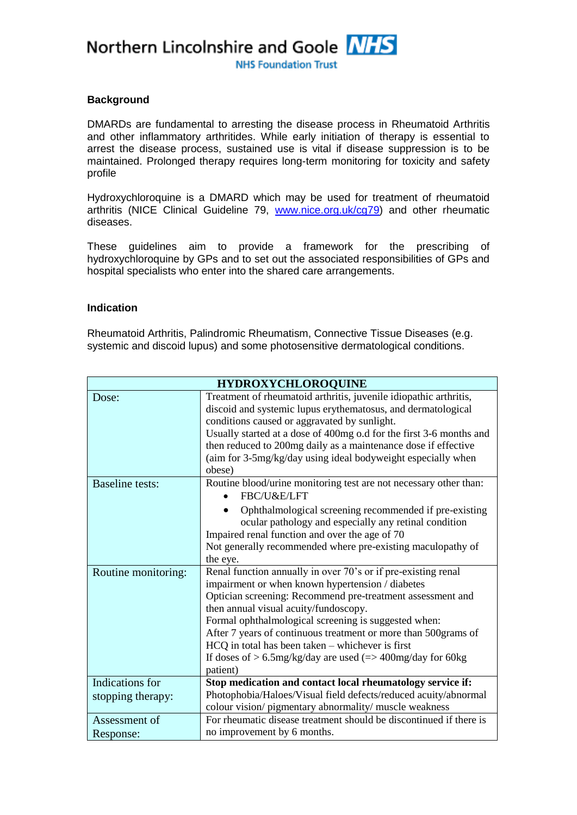Northern Lincolnshire and Goole NHS

**NHS Foundation Trust** 

### **Background**

DMARDs are fundamental to arresting the disease process in Rheumatoid Arthritis and other inflammatory arthritides. While early initiation of therapy is essential to arrest the disease process, sustained use is vital if disease suppression is to be maintained. Prolonged therapy requires long-term monitoring for toxicity and safety profile

Hydroxychloroquine is a DMARD which may be used for treatment of rheumatoid arthritis (NICE Clinical Guideline 79, [www.nice.org.uk/cg79\)](file:///C:/Users/turkali/AppData/Local/Microsoft/Windows/Temporary%20Internet%20Files/Content.Outlook/AppData/Local/Microsoft/Windows/Temporary%20Internet%20Files/Content.Outlook/shared%20care%20frameworks%20drafts/rheumatology%20drafts/www.nice.org.uk/cg79) and other rheumatic diseases.

These guidelines aim to provide a framework for the prescribing of hydroxychloroquine by GPs and to set out the associated responsibilities of GPs and hospital specialists who enter into the shared care arrangements.

#### **Indication**

Rheumatoid Arthritis, Palindromic Rheumatism, Connective Tissue Diseases (e.g. systemic and discoid lupus) and some photosensitive dermatological conditions.

| <b>HYDROXYCHLOROQUINE</b> |                                                                                                                                                         |  |  |
|---------------------------|---------------------------------------------------------------------------------------------------------------------------------------------------------|--|--|
| Dose:                     | Treatment of rheumatoid arthritis, juvenile idiopathic arthritis,                                                                                       |  |  |
|                           | discoid and systemic lupus erythematosus, and dermatological                                                                                            |  |  |
|                           | conditions caused or aggravated by sunlight.                                                                                                            |  |  |
|                           | Usually started at a dose of 400mg o.d for the first 3-6 months and                                                                                     |  |  |
|                           | then reduced to 200mg daily as a maintenance dose if effective                                                                                          |  |  |
|                           | (aim for 3-5mg/kg/day using ideal bodyweight especially when                                                                                            |  |  |
|                           | obese)                                                                                                                                                  |  |  |
| <b>Baseline tests:</b>    | Routine blood/urine monitoring test are not necessary other than:<br>FBC/U&E/LFT                                                                        |  |  |
|                           | Ophthalmological screening recommended if pre-existing                                                                                                  |  |  |
|                           | ocular pathology and especially any retinal condition<br>Impaired renal function and over the age of 70                                                 |  |  |
|                           |                                                                                                                                                         |  |  |
|                           | Not generally recommended where pre-existing maculopathy of                                                                                             |  |  |
|                           | the eye.                                                                                                                                                |  |  |
| Routine monitoring:       | Renal function annually in over 70's or if pre-existing renal                                                                                           |  |  |
|                           | impairment or when known hypertension / diabetes<br>Optician screening: Recommend pre-treatment assessment and<br>then annual visual acuity/fundoscopy. |  |  |
|                           |                                                                                                                                                         |  |  |
|                           | Formal ophthalmological screening is suggested when:                                                                                                    |  |  |
|                           | After 7 years of continuous treatment or more than 500grams of                                                                                          |  |  |
|                           | $HCQ$ in total has been taken $-$ whichever is first                                                                                                    |  |  |
|                           | If doses of $> 6.5$ mg/kg/day are used ( $=$ 400mg/day for 60kg                                                                                         |  |  |
|                           | patient)                                                                                                                                                |  |  |
| Indications for           | Stop medication and contact local rheumatology service if:                                                                                              |  |  |
| stopping therapy:         | Photophobia/Haloes/Visual field defects/reduced acuity/abnormal                                                                                         |  |  |
|                           | colour vision/pigmentary abnormality/muscle weakness                                                                                                    |  |  |
| Assessment of             | For rheumatic disease treatment should be discontinued if there is                                                                                      |  |  |
| Response:                 | no improvement by 6 months.                                                                                                                             |  |  |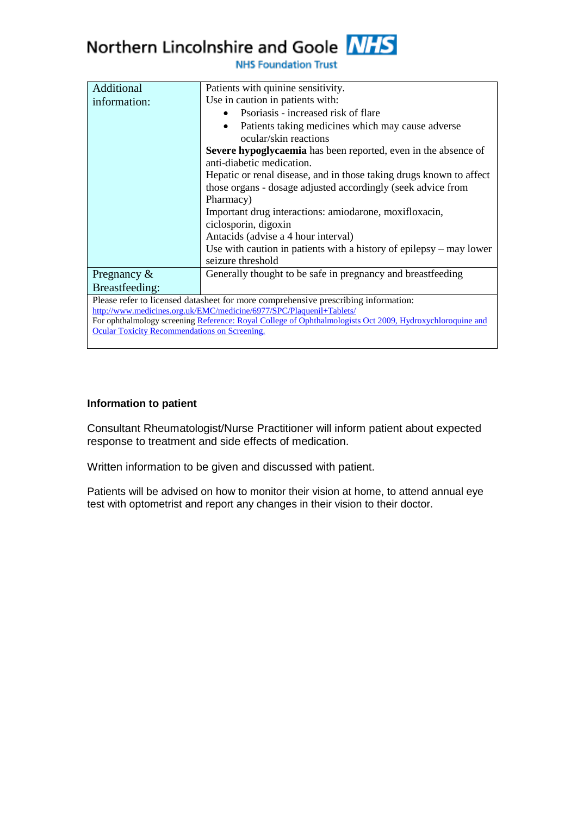# Northern Lincolnshire and Goole NHS

| Additional                                                                                                | Patients with quinine sensitivity.                                         |  |  |
|-----------------------------------------------------------------------------------------------------------|----------------------------------------------------------------------------|--|--|
| information:                                                                                              | Use in caution in patients with:                                           |  |  |
|                                                                                                           | Psoriasis - increased risk of flare                                        |  |  |
|                                                                                                           | Patients taking medicines which may cause adverse<br>ocular/skin reactions |  |  |
|                                                                                                           | Severe hypoglycaemia has been reported, even in the absence of             |  |  |
|                                                                                                           | anti-diabetic medication.                                                  |  |  |
|                                                                                                           | Hepatic or renal disease, and in those taking drugs known to affect        |  |  |
|                                                                                                           | those organs - dosage adjusted accordingly (seek advice from               |  |  |
|                                                                                                           | Pharmacy)                                                                  |  |  |
|                                                                                                           | Important drug interactions: amiodarone, moxifloxacin,                     |  |  |
|                                                                                                           | ciclosporin, digoxin                                                       |  |  |
|                                                                                                           | Antacids (advise a 4 hour interval)                                        |  |  |
|                                                                                                           | Use with caution in patients with a history of epilepsy $-$ may lower      |  |  |
|                                                                                                           | seizure threshold                                                          |  |  |
| Pregnancy $\&$                                                                                            | Generally thought to be safe in pregnancy and breastfeeding                |  |  |
| Breastfeeding:                                                                                            |                                                                            |  |  |
| Please refer to licensed datasheet for more comprehensive prescribing information:                        |                                                                            |  |  |
| http://www.medicines.org.uk/EMC/medicine/6977/SPC/Plaquenil+Tablets/                                      |                                                                            |  |  |
| For ophthalmology screening Reference: Royal College of Ophthalmologists Oct 2009, Hydroxychloroquine and |                                                                            |  |  |
| <b>Ocular Toxicity Recommendations on Screening.</b>                                                      |                                                                            |  |  |
|                                                                                                           |                                                                            |  |  |

## **NHS Foundation Trust**

### **Information to patient**

Consultant Rheumatologist/Nurse Practitioner will inform patient about expected response to treatment and side effects of medication.

Written information to be given and discussed with patient.

Patients will be advised on how to monitor their vision at home, to attend annual eye test with optometrist and report any changes in their vision to their doctor.